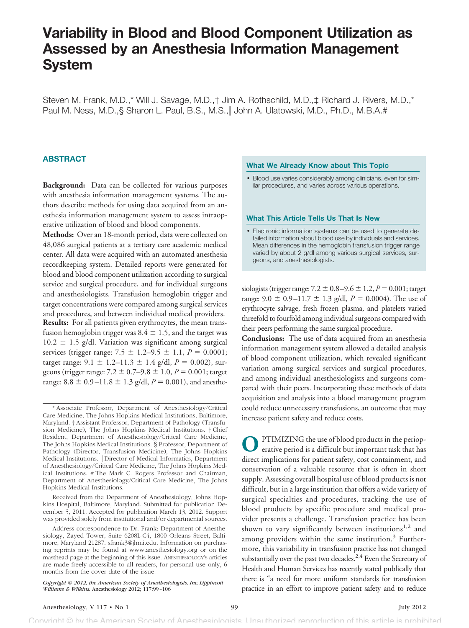# **Variability in Blood and Blood Component Utilization as Assessed by an Anesthesia Information Management System**

Steven M. Frank, M.D.,\* Will J. Savage, M.D.,† Jim A. Rothschild, M.D.,‡ Richard J. Rivers, M.D.,\* Paul M. Ness, M.D.,§ Sharon L. Paul, B.S., M.S.,|| John A. Ulatowski, M.D., Ph.D., M.B.A.#

## **ABSTRACT**

**Background:** Data can be collected for various purposes with anesthesia information management systems. The authors describe methods for using data acquired from an anesthesia information management system to assess intraoperative utilization of blood and blood components.

**Methods:** Over an 18-month period, data were collected on 48,086 surgical patients at a tertiary care academic medical center. All data were acquired with an automated anesthesia recordkeeping system. Detailed reports were generated for blood and blood component utilization according to surgical service and surgical procedure, and for individual surgeons and anesthesiologists. Transfusion hemoglobin trigger and target concentrations were compared among surgical services and procedures, and between individual medical providers. **Results:** For all patients given erythrocytes, the mean transfusion hemoglobin trigger was  $8.4 \pm 1.5$ , and the target was  $10.2 \pm 1.5$  g/dl. Variation was significant among surgical services (trigger range:  $7.5 \pm 1.2 - 9.5 \pm 1.1$ ,  $P = 0.0001$ ; target range:  $9.1 \pm 1.2 - 11.3 \pm 1.4$  g/dl,  $P = 0.002$ ), surgeons (trigger range:  $7.2 \pm 0.7 - 9.8 \pm 1.0$ ,  $P = 0.001$ ; target range:  $8.8 \pm 0.9 - 11.8 \pm 1.3$  g/dl,  $P = 0.001$ ), and anesthe-

Received from the Department of Anesthesiology, Johns Hopkins Hospital, Baltimore, Maryland. Submitted for publication December 5, 2011. Accepted for publication March 13, 2012. Support was provided solely from institutional and/or departmental sources.

Address correspondence to Dr. Frank: Department of Anesthesiology, Zayed Tower, Suite 6208L-C4, 1800 Orleans Street, Baltimore, Maryland 21287. sfrank3@jhmi.edu. Information on purchasing reprints may be found at www.anesthesiology.org or on the masthead page at the beginning of this issue. ANESTHESIOLOGY'S articles are made freely accessible to all readers, for personal use only, 6 months from the cover date of the issue.

## **What We Already Know about This Topic**

• Blood use varies considerably among clinicians, even for similar procedures, and varies across various operations.

#### **What This Article Tells Us That Is New**

• Electronic information systems can be used to generate detailed information about blood use by individuals and services. Mean differences in the hemoglobin transfusion trigger range varied by about 2 g/dl among various surgical services, surgeons, and anesthesiologists.

 $\frac{\text{siologists}}{\text{trigger range: } 7.2 \pm 0.8 - 9.6 \pm 1.2, P = 0.001; \text{target}}$ range:  $9.0 \pm 0.9 - 11.7 \pm 1.3$  g/dl,  $P = 0.0004$ ). The use of erythrocyte salvage, fresh frozen plasma, and platelets varied threefold to fourfold among individual surgeons compared with their peers performing the same surgical procedure.

**Conclusions:** The use of data acquired from an anesthesia information management system allowed a detailed analysis of blood component utilization, which revealed significant variation among surgical services and surgical procedures, and among individual anesthesiologists and surgeons compared with their peers. Incorporating these methods of data acquisition and analysis into a blood management program could reduce unnecessary transfusions, an outcome that may increase patient safety and reduce costs.

**O** PTIMIZING the use of blood products in the perioperative period is a difficult but important task that has direct implications for patient safety, cost containment, and PTIMIZING the use of blood products in the perioperative period is a difficult but important task that has conservation of a valuable resource that is often in short supply. Assessing overall hospital use of blood products is not difficult, but in a large institution that offers a wide variety of surgical specialties and procedures, tracking the use of blood products by specific procedure and medical provider presents a challenge. Transfusion practice has been shown to vary significantly between institutions $1,2$  and among providers within the same institution.<sup>3</sup> Furthermore, this variability in transfusion practice has not changed substantially over the past two decades.<sup>2,4</sup> Even the Secretary of Health and Human Services has recently stated publically that there is "a need for more uniform standards for transfusion practice in an effort to improve patient safety and to reduce

<sup>\*</sup> Associate Professor, Department of Anesthesiology/Critical Care Medicine, The Johns Hopkins Medical Institutions, Baltimore, Maryland. † Assistant Professor, Department of Pathology (Transfusion Medicine), The Johns Hopkins Medical Institutions. ‡ Chief Resident, Department of Anesthesiology/Critical Care Medicine, The Johns Hopkins Medical Institutions. § Professor, Department of Pathology (Director, Transfusion Medicine), The Johns Hopkins Medical Institutions. | Director of Medical Informatics, Department of Anesthesiology/Critical Care Medicine, The Johns Hopkins Medical Institutions. # The Mark C. Rogers Professor and Chairman, Department of Anesthesiology/Critical Care Medicine, The Johns Hopkins Medical Institutions.

*Copyright © 2012, the American Society of Anesthesiologists, Inc. Lippincott Williams & Wilkins.* Anesthesiology 2012; 117:99–106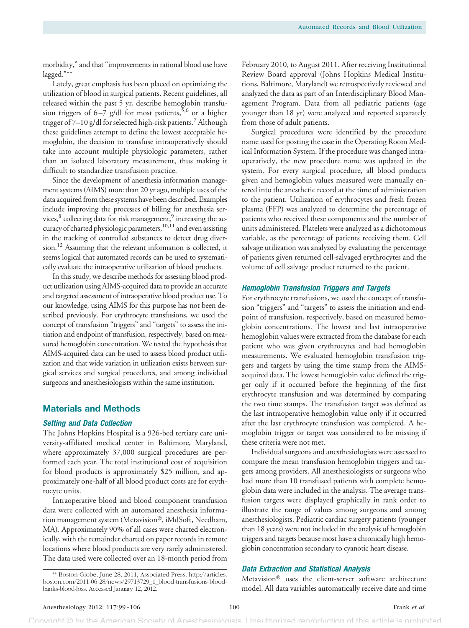morbidity," and that "improvements in rational blood use have lagged."\*\*

Lately, great emphasis has been placed on optimizing the utilization of blood in surgical patients. Recent guidelines, all released within the past 5 yr, describe hemoglobin transfusion triggers of 6–7 g/dl for most patients,<sup>5,6</sup> or a higher trigger of 7-10 g/dl for selected high-risk patients.<sup>7</sup> Although these guidelines attempt to define the lowest acceptable hemoglobin, the decision to transfuse intraoperatively should take into account multiple physiologic parameters, rather than an isolated laboratory measurement, thus making it difficult to standardize transfusion practice.

Since the development of anesthesia information management systems (AIMS) more than 20 yr ago, multiple uses of the data acquired from these systems have been described. Examples include improving the processes of billing for anesthesia services,<sup>8</sup> collecting data for risk management,<sup>9</sup> increasing the accuracy of charted physiologic parameters,<sup>10,11</sup> and even assisting in the tracking of controlled substances to detect drug diversion.<sup>12</sup> Assuming that the relevant information is collected, it seems logical that automated records can be used to systematically evaluate the intraoperative utilization of blood products.

In this study, we describe methods for assessing blood product utilization using AIMS-acquired data to provide an accurate and targeted assessment of intraoperative blood product use. To our knowledge, using AIMS for this purpose has not been described previously. For erythrocyte transfusions, we used the concept of transfusion "triggers" and "targets" to assess the initiation and endpoint of transfusion, respectively, based on measured hemoglobin concentration. We tested the hypothesis that AIMS-acquired data can be used to assess blood product utilization and that wide variation in utilization exists between surgical services and surgical procedures, and among individual surgeons and anesthesiologists within the same institution.

# **Materials and Methods**

## **Setting and Data Collection**

The Johns Hopkins Hospital is a 926-bed tertiary care university-affiliated medical center in Baltimore, Maryland, where approximately 37,000 surgical procedures are performed each year. The total institutional cost of acquisition for blood products is approximately \$25 million, and approximately one-half of all blood product costs are for erythrocyte units.

Intraoperative blood and blood component transfusion data were collected with an automated anesthesia information management system (Metavision®, iMdSoft, Needham, MA). Approximately 90% of all cases were charted electronically, with the remainder charted on paper records in remote locations where blood products are very rarely administered. The data used were collected over an 18-month period from

February 2010, to August 2011. After receiving Institutional Review Board approval (Johns Hopkins Medical Institutions, Baltimore, Maryland) we retrospectively reviewed and analyzed the data as part of an Interdisciplinary Blood Management Program. Data from all pediatric patients (age younger than 18 yr) were analyzed and reported separately from those of adult patients.

Surgical procedures were identified by the procedure name used for posting the case in the Operating Room Medical Information System. If the procedure was changed intraoperatively, the new procedure name was updated in the system. For every surgical procedure, all blood products given and hemoglobin values measured were manually entered into the anesthetic record at the time of administration to the patient. Utilization of erythrocytes and fresh frozen plasma (FFP) was analyzed to determine the percentage of patients who received these components and the number of units administered. Platelets were analyzed as a dichotomous variable, as the percentage of patients receiving them. Cell salvage utilization was analyzed by evaluating the percentage of patients given returned cell-salvaged erythrocytes and the volume of cell salvage product returned to the patient.

## **Hemoglobin Transfusion Triggers and Targets**

For erythrocyte transfusions, we used the concept of transfusion "triggers" and "targets" to assess the initiation and endpoint of transfusion, respectively, based on measured hemoglobin concentrations. The lowest and last intraoperative hemoglobin values were extracted from the database for each patient who was given erythrocytes and had hemoglobin measurements. We evaluated hemoglobin transfusion triggers and targets by using the time stamp from the AIMSacquired data. The lowest hemoglobin value defined the trigger only if it occurred before the beginning of the first erythrocyte transfusion and was determined by comparing the two time stamps. The transfusion target was defined as the last intraoperative hemoglobin value only if it occurred after the last erythrocyte transfusion was completed. A hemoglobin trigger or target was considered to be missing if these criteria were not met.

Individual surgeons and anesthesiologists were assessed to compare the mean transfusion hemoglobin triggers and targets among providers. All anesthesiologists or surgeons who had more than 10 transfused patients with complete hemoglobin data were included in the analysis. The average transfusion targets were displayed graphically in rank order to illustrate the range of values among surgeons and among anesthesiologists. Pediatric cardiac surgery patients (younger than 18 years) were not included in the analysis of hemoglobin triggers and targets because most have a chronically high hemoglobin concentration secondary to cyanotic heart disease.

# **Data Extraction and Statistical Analysis**

Metavision<sup>®</sup> uses the client-server software architecture model. All data variables automatically receive date and time

<sup>\*\*</sup> Boston Globe, June 28, 2011, Associated Press, [http://articles.](http://articles.boston.com/2011-06-28/news/29713729_1_blood-transfusions-blood-banks-blood-loss) [boston.com/2011-06-28/news/29713729\\_1\\_blood-transfusions-blood](http://articles.boston.com/2011-06-28/news/29713729_1_blood-transfusions-blood-banks-blood-loss)[banks-blood-loss.](http://articles.boston.com/2011-06-28/news/29713729_1_blood-transfusions-blood-banks-blood-loss) Accessed January 12, 2012.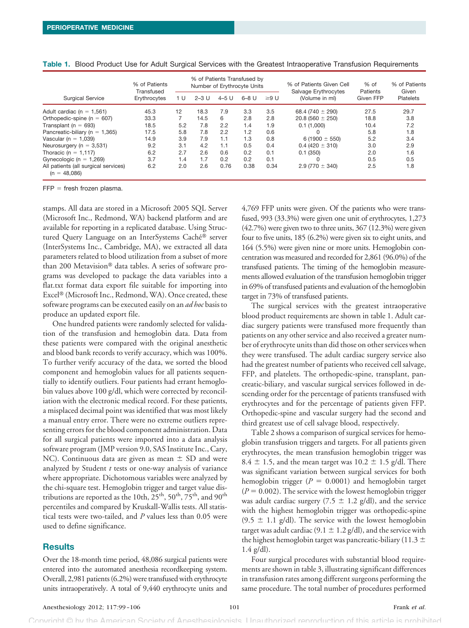|                                                        | % of Patients<br>Transfused |     | % of Patients Transfused by<br>Number of Erythrocyte Units |         |         |           | % of Patients Given Cell<br>Salvage Erythrocytes | % of<br>Patients | % of Patients<br>Given |
|--------------------------------------------------------|-----------------------------|-----|------------------------------------------------------------|---------|---------|-----------|--------------------------------------------------|------------------|------------------------|
| <b>Surgical Service</b>                                | Erythrocytes                | 1 U | $2-3$ U                                                    | $4-5$ U | $6-8$ U | $\geq$ 9U | (Volume in ml)                                   | Given FFP        | <b>Platelets</b>       |
| Adult cardiac ( $n = 1,561$ )                          | 45.3                        | 12  | 18.3                                                       | 7.9     | 3.3     | 3.5       | 68.4 (740 $\pm$ 290)                             | 27.5             | 29.7                   |
| Orthopedic-spine ( $n = 607$ )                         | 33.3                        |     | 14.5                                                       | 6       | 2.8     | 2.8       | $20.8(560 \pm 250)$                              | 18.8             | 3.8                    |
| Transplant ( $n = 693$ )                               | 18.5                        | 5.2 | 7.8                                                        | 2.2     | 1.4     | 1.9       | 0.1(1,000)                                       | 10.4             | 7.2                    |
| Pancreatic-biliary ( $n = 1,365$ )                     | 17.5                        | 5.8 | 7.8                                                        | 2.2     | 1.2     | 0.6       | U                                                | 5.8              | 1.8                    |
| Vascular (n = $1.039$ )                                | 14.9                        | 3.9 | 7.9                                                        | 1.1     | 1.3     | 0.8       | 6 (1900 $\pm$ 550)                               | 5.2              | 3.4                    |
| Neurosurgery ( $n = 3,531$ )                           | 9.2                         | 3.1 | 4.2                                                        | 1.1     | 0.5     | 0.4       | $0.4(420 \pm 310)$                               | 3.0              | 2.9                    |
| Thoracic (n = $1,117$ )                                | 6.2                         | 2.7 | 2.6                                                        | 0.6     | 0.2     | 0.1       | 0.1(350)                                         | 2.0              | 1.6                    |
| Gynecologic ( $n = 1.269$ )                            | 3.7                         | 1.4 | 1.7                                                        | 0.2     | 0.2     | 0.1       | 0                                                | 0.5              | 0.5                    |
| All patients (all surgical services)<br>$(n = 48,086)$ | 6.2                         | 2.0 | 2.6                                                        | 0.76    | 0.38    | 0.34      | $2.9(770 \pm 340)$                               | 2.5              | 1.8                    |

| Table 1. Blood Product Use for Adult Surgical Services with the Greatest Intraoperative Transfusion Requirements |  |  |  |  |
|------------------------------------------------------------------------------------------------------------------|--|--|--|--|
|                                                                                                                  |  |  |  |  |

 $FFP =$  fresh frozen plasma.

stamps. All data are stored in a Microsoft 2005 SQL Server (Microsoft Inc., Redmond, WA) backend platform and are available for reporting in a replicated database. Using Structured Query Language on an InterSystems Caché<sup>®</sup> server (InterSystems Inc., Cambridge, MA), we extracted all data parameters related to blood utilization from a subset of more than 200 Metavision<sup>®</sup> data tables. A series of software programs was developed to package the data variables into a flat.txt format data export file suitable for importing into Excel® (Microsoft Inc., Redmond, WA). Once created, these software programs can be executed easily on an *ad hoc* basis to produce an updated export file.

One hundred patients were randomly selected for validation of the transfusion and hemoglobin data. Data from these patients were compared with the original anesthetic and blood bank records to verify accuracy, which was 100%. To further verify accuracy of the data, we sorted the blood component and hemoglobin values for all patients sequentially to identify outliers. Four patients had errant hemoglobin values above 100 g/dl, which were corrected by reconciliation with the electronic medical record. For these patients, a misplaced decimal point was identified that was most likely a manual entry error. There were no extreme outliers representing errors for the blood component administration. Data for all surgical patients were imported into a data analysis software program (JMP version 9.0, SAS Institute Inc., Cary, NC). Continuous data are given as mean  $\pm$  SD and were analyzed by Student *t* tests or one-way analysis of variance where appropriate. Dichotomous variables were analyzed by the chi-square test. Hemoglobin trigger and target value distributions are reported as the 10th,  $25<sup>th</sup>$ ,  $50<sup>th</sup>$ ,  $75<sup>th</sup>$ , and  $90<sup>th</sup>$ percentiles and compared by Kruskall-Wallis tests. All statistical tests were two-tailed, and *P* values less than 0.05 were used to define significance.

# **Results**

Over the 18-month time period, 48,086 surgical patients were entered into the automated anesthesia recordkeeping system. Overall, 2,981 patients (6.2%) were transfused with erythrocyte units intraoperatively. A total of 9,440 erythrocyte units and

4,769 FFP units were given. Of the patients who were transfused, 993 (33.3%) were given one unit of erythrocytes, 1,273 (42.7%) were given two to three units, 367 (12.3%) were given four to five units, 185 (6.2%) were given six to eight units, and 164 (5.5%) were given nine or more units. Hemoglobin concentration was measured and recorded for 2,861 (96.0%) of the transfused patients. The timing of the hemoglobin measurements allowed evaluation of the transfusion hemoglobin trigger in 69% of transfused patients and evaluation of the hemoglobin target in 73% of transfused patients.

The surgical services with the greatest intraoperative blood product requirements are shown in table 1. Adult cardiac surgery patients were transfused more frequently than patients on any other service and also received a greater number of erythrocyte units than did those on other services when they were transfused. The adult cardiac surgery service also had the greatest number of patients who received cell salvage, FFP, and platelets. The orthopedic-spine, transplant, pancreatic-biliary, and vascular surgical services followed in descending order for the percentage of patients transfused with erythrocytes and for the percentage of patients given FFP. Orthopedic-spine and vascular surgery had the second and third greatest use of cell salvage blood, respectively.

Table 2 shows a comparison of surgical services for hemoglobin transfusion triggers and targets. For all patients given erythrocytes, the mean transfusion hemoglobin trigger was 8.4  $\pm$  1.5, and the mean target was 10.2  $\pm$  1.5 g/dl. There was significant variation between surgical services for both hemoglobin trigger ( $P = 0.0001$ ) and hemoglobin target  $(P = 0.002)$ . The service with the lowest hemoglobin trigger was adult cardiac surgery (7.5  $\pm$  1.2 g/dl), and the service with the highest hemoglobin trigger was orthopedic-spine  $(9.5 \pm 1.1 \text{ g/dl})$ . The service with the lowest hemoglobin target was adult cardiac (9.1  $\pm$  1.2 g/dl), and the service with the highest hemoglobin target was pancreatic-biliary (11.3  $\pm$ 1.4 g/dl).

Four surgical procedures with substantial blood requirements are shown in table 3, illustrating significant differences in transfusion rates among different surgeons performing the same procedure. The total number of procedures performed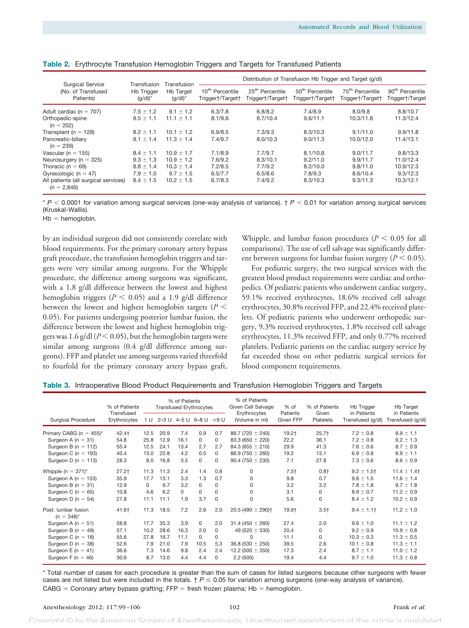| <b>Surgical Service</b>                                                                                                                                            | Transfusion                                                                       | Transfusion                                                                           | Distribution of Transfusion Hb Trigger and Target (g/dl) |                                                      |                                                         |                                                          |                                                             |  |  |  |  |
|--------------------------------------------------------------------------------------------------------------------------------------------------------------------|-----------------------------------------------------------------------------------|---------------------------------------------------------------------------------------|----------------------------------------------------------|------------------------------------------------------|---------------------------------------------------------|----------------------------------------------------------|-------------------------------------------------------------|--|--|--|--|
| (No. of Transfused<br>Patients)                                                                                                                                    | <b>Hb Trigger</b><br>$(g/dl)^*$                                                   | <b>Hb Target</b><br>$(q/dl)^*$                                                        | 10 <sup>th</sup> Percentile<br>Triggert/Targett          | 25 <sup>th</sup> Percentile<br>Trigger†/Target†      | 50 <sup>th</sup> Percentile<br>Trigger†/Target†         | 75 <sup>th</sup> Percentile<br>Trigger†/Target†          | 90 <sup>th</sup> Percentile<br>Trigger†/Target              |  |  |  |  |
| Adult cardiac ( $n = 707$ )<br>Orthopedic-spine<br>$(n = 202)$                                                                                                     | $7.5 \pm 1.2$<br>$9.5 \pm 1.1$                                                    | $9.1 \pm 1.2$<br>$11.1 \pm 1.1$                                                       | 6.3/7.8<br>8.1/9.6                                       | 6.8/8.2<br>8.7/10.4                                  | 7.4/8.9<br>9.6/11.1                                     | 8.0/9.8<br>10.3/11.8                                     | 8.8/10.7<br>11.3/12.4                                       |  |  |  |  |
| Transplant ( $n = 128$ )<br>Pancreatic-biliary<br>$(n = 239)$                                                                                                      | $8.2 \pm 1.1$<br>$9.1 \pm 1.4$                                                    | $10.1 \pm 1.2$<br>$11.3 \pm 1.4$                                                      | 6.9/8.5<br>7.4/9.7                                       | 7.3/9.3<br>8.0/10.3                                  | 8.3/10.3<br>9.0/11.3                                    | 9.1/11.0<br>10.0/12.0                                    | 9.9/11.8<br>11.4/13.1                                       |  |  |  |  |
| Vascular ( $n = 155$ )<br>Neurosurgery ( $n = 325$ )<br>Thoracic ( $n = 69$ )<br>Gynecologic ( $n = 47$ )<br>All patients (all surgical services)<br>$(n = 2,846)$ | $8.4 \pm 1.1$<br>$9.3 \pm 1.3$<br>$8.8 \pm 1.4$<br>$7.9 \pm 1.0$<br>$8.4 \pm 1.5$ | $10.9 \pm 1.7$<br>$10.9 \pm 1.2$<br>$10.3 \pm 1.4$<br>$9.7 \pm 1.5$<br>$10.2 \pm 1.5$ | 7.1/8.9<br>7.6/9.2<br>7.2/8.5<br>6.5/7.7<br>6.7/8.3      | 7.7/9.7<br>8.3/10.1<br>7.7/9.2<br>6.5/8.6<br>7.4/9.2 | 8.1/10.8<br>9.2/11.0<br>8.2/10.0<br>7.8/9.3<br>8.3/10.3 | 9.0/11.7<br>9.9/11.7<br>9.8/11.0<br>8.6/10.4<br>9.3/11.3 | 9.8/13.3<br>11.0/12.4<br>10.9/12.3<br>9.3/12.3<br>10.3/12.1 |  |  |  |  |

|  |  |  | Table 2. Erythrocyte Transfusion Hemoglobin Triggers and Targets for Transfused Patients |  |
|--|--|--|------------------------------------------------------------------------------------------|--|
|  |  |  |                                                                                          |  |

 $* P < 0.0001$  for variation among surgical services (one-way analysis of variance).  $\uparrow P < 0.01$  for variation among surgical services (Kruskal-Wallis).

 $Hb =$  hemoglobin.

by an individual surgeon did not consistently correlate with blood requirements. For the primary coronary artery bypass graft procedure, the transfusion hemoglobin triggers and targets were very similar among surgeons. For the Whipple procedure, the difference among surgeons was significant, with a 1.8 g/dl difference between the lowest and highest hemoglobin triggers ( $P < 0.05$ ) and a 1.9 g/dl difference between the lowest and highest hemoglobin targets (*P* 0.05). For patients undergoing posterior lumbar fusion, the difference between the lowest and highest hemoglobin triggers was 1.6 g/dl ( $P < 0.05$ ), but the hemoglobin targets were similar among surgeons (0.4 g/dl difference among surgeons). FFP and platelet use among surgeons varied threefold to fourfold for the primary coronary artery bypass graft,

Whipple, and lumbar fusion procedures ( $P < 0.05$  for all comparisons). The use of cell salvage was significantly different between surgeons for lumbar fusion surgery  $(P < 0.05)$ .

For pediatric surgery, the two surgical services with the greatest blood product requirements were cardiac and orthopedics. Of pediatric patients who underwent cardiac surgery, 59.1% received erythrocytes, 18.6% received cell salvage erythrocytes, 30.8% received FFP, and 22.4% received platelets. Of pediatric patients who underwent orthopedic surgery, 9.3% received erythrocytes, 1.8% received cell salvage erythrocytes, 11.3% received FFP, and only 0.77% received platelets. Pediatric patients on the cardiac surgery service by far exceeded those on other pediatric surgical services for blood component requirements.

|  |  |  | Table 3. Intraoperative Blood Product Requirements and Transfusion Hemoglobin Triggers and Targets |  |  |  |  |
|--|--|--|----------------------------------------------------------------------------------------------------|--|--|--|--|
|--|--|--|----------------------------------------------------------------------------------------------------|--|--|--|--|

| % of Patients                          |                            |          | % of Patients<br><b>Transfused Erythrocytes</b> |          |                        |          | % of Patients<br>Given Cell Salvage<br>Erythrocytes | % of<br>Patients | % of Patients<br>Given | <b>Hb Trigger</b><br>in Patients | Hb Target<br>in Patients |
|----------------------------------------|----------------------------|----------|-------------------------------------------------|----------|------------------------|----------|-----------------------------------------------------|------------------|------------------------|----------------------------------|--------------------------|
| Surgical Procedure                     | Transfused<br>Erythrocytes | 1 U      |                                                 |          | 2-3 U 4-5 U 6-8 U ≥9 U |          | (Volume in ml)                                      | Given FFP        | Platelets              | Transfused (g/dl)                | Transfused (g/dl)        |
| Primary CABG ( $n = 455$ )*            | 42.4†                      | 12.5     | 20.9                                            | 7.4      | 0.9                    | 0.7      | $86.7(720 \pm 240)$                                 | $19.2+$          | $25.7+$                | $7.2 \pm 0.8$                    | $8.9 \pm 1.1$            |
| Surgeon A ( $n = 31$ )                 | 54.8                       | 25.8     | 12.9                                            | 16.1     | $\Omega$               | 0        | 83.3 (650 $\pm$ 220)                                | 22.2             | 36.1                   | $7.2 \pm 0.8$                    | $9.2 \pm 1.3$            |
| Surgeon B ( $n = 112$ )                | 55.4                       | 12.5     | 24.1                                            | 13.4     | 2.7                    | 2.7      | $84.3(655 \pm 210)$                                 | 29.9             | 41.3                   | $7.6 \pm 0.6$                    | $8.7 \pm 0.9$            |
| Surgeon C ( $n = 193$ )                | 40.4                       | 13.0     | 22.8                                            | 4.2      | 0.5                    | $\Omega$ | $86.9(750 \pm 260)$                                 | 19.2             | 13.1                   | $6.9 \pm 0.8$                    | $8.9 \pm 1.1$            |
| Surgeon D ( $n = 113$ )                | 28.3                       | 8.0      | 16.8                                            | 3.5      | $\Omega$               | $\Omega$ | $90.4(750 \pm 230)$                                 | 7.1              | 27.8                   | $7.3 \pm 0.6$                    | $8.6 \pm 0.9$            |
| Whipple (n = $371$ )*                  | $27.2+$                    | 11.3     | 11.3                                            | 2.4      | 1.4                    | 0.8      | $\Omega$                                            | $7.5+$           | $0.8+$                 | $9.2 \pm 1.5$ †                  | $11.4 \pm 1.4$           |
| Surgeon A ( $n = 153$ )                | 35.9                       | 17.7     | 13.1                                            | 3.3      | 1.3                    | 0.7      | 0                                                   | 9.8              | 0.7                    | $9.6 \pm 1.5$                    | $11.6 \pm 1.4$           |
| Surgeon B ( $n = 31$ )                 | 12.9                       | $\Omega$ | 9.7                                             | 3.2      | $\Omega$               | $\Omega$ | 0                                                   | 3.2              | 3.2                    | $7.8 \pm 1.8$                    | $9.7 \pm 1.8$            |
| Surgeon C ( $n = 65$ )                 | 10.8                       | 4.6      | 6.2                                             | $\Omega$ | $\Omega$               | $\Omega$ | <sup>0</sup>                                        | 3.1              | 0                      | $8.9 \pm 0.7$                    | $11.2 \pm 0.9$           |
| Surgeon D ( $n = 54$ )                 | 27.8                       | 11.1     | 11.1                                            | 1.9      | 3.7                    | $\Omega$ | $\Omega$                                            | 5.6              | 0                      | $8.4 \pm 1.2$                    | $10.2 \pm 0.9$           |
| Post. lumbar fusion<br>$(n = 346)^{*}$ | 41.6†                      | 11.3     | 18.5                                            | 7.2      | 2.6                    | 2.0      | 20.5 (490 $\pm$ 290) <sup>+</sup>                   | 19.9†            | $3.5+$                 | $9.4 \pm 1.1$                    | $11.2 \pm 1.0$           |
| Surgeon A ( $n = 51$ )                 | 58.8                       | 17.7     | 35.3                                            | 3.9      | $\mathbf 0$            | 2.0      | 31.4 (450 $\pm$ 260)                                | 27.4             | 2.0                    | $9.6 \pm 1.0$                    | $11.1 \pm 1.2$           |
| Surgeon B ( $n = 49$ )                 | 57.1                       | 10.2     | 28.6                                            | 16.3     | 2.0                    | $\Omega$ | 49 (520 $\pm$ 330)                                  | 20.4             | 0                      | $9.2 \pm 0.9$                    | $10.9 \pm 0.8$           |
| Surgeon C ( $n = 18$ )                 | 55.6                       | 27.8     | 16.7                                            | 11.1     | $\Omega$               | 0        | $\Omega$                                            | 11.1             | 0                      | $10.3 \pm 0.3$                   | $11.3 \pm 0.5$           |
| Surgeon D ( $n = 38$ )                 | 52.6                       | 7.9      | 21.0                                            | 7.9      | 10.5                   | 5.3      | $36.8(530 \pm 250)$                                 | 39.5             | 2.6                    | $10.1 \pm 0.8$                   | $11.3 \pm 1.1$           |
| Surgeon E ( $n = 41$ )                 | 36.6                       | 7.3      | 14.6                                            | 9.8      | 2.4                    | 2.4      | 12.2 (500 $\pm$ 350)                                | 17.3             | 2.4                    | $8.7 \pm 1.1$                    | $11.0 \pm 1.2$           |
| Surgeon F ( $n = 46$ )                 | 30.6                       | 8.7      | 13.0                                            | 4.4      | 4.4                    | $\Omega$ | 2.2(500)                                            | 19.4             | 4.4                    | $9.7 \pm 1.0$                    | $11.3 \pm 0.8$           |

\* Total number of cases for each procedure is greater than the sum of cases for listed surgeons because other surgeons with fewer cases are not listed but were included in the totals.  $\uparrow P \leq 0.05$  for variation among surgeons (one-way analysis of variance).  $CABG =$  Coronary artery bypass grafting; FFP = fresh frozen plasma; Hb = hemoglobin.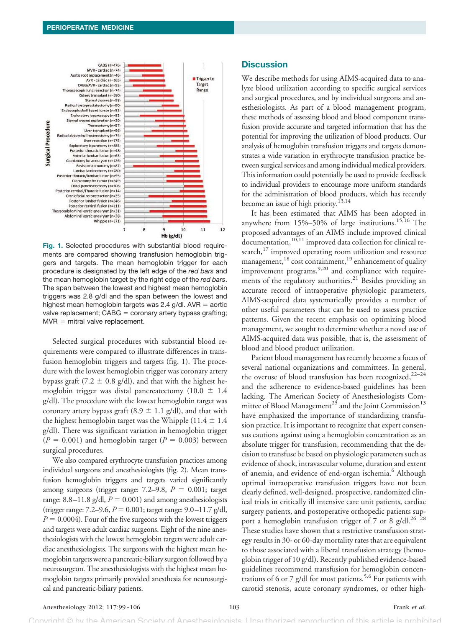

**Fig. 1.** Selected procedures with substantial blood requirements are compared showing transfusion hemoglobin triggers and targets. The mean hemoglobin trigger for each procedure is designated by the left edge of the *red bars* and the mean hemoglobin target by the right edge of the *red bars*. The span between the lowest and highest mean hemoglobin triggers was 2.8 g/dl and the span between the lowest and highest mean hemoglobin targets was  $2.4$  g/dl.  $AVR =$  aortic valve replacement; CABG = coronary artery bypass grafting;  $MVR =$  mitral valve replacement.

Selected surgical procedures with substantial blood requirements were compared to illustrate differences in transfusion hemoglobin triggers and targets (fig. 1). The procedure with the lowest hemoglobin trigger was coronary artery bypass graft (7.2  $\pm$  0.8 g/dl), and that with the highest hemoglobin trigger was distal pancreatectomy (10.0  $\pm$  1.4 g/dl). The procedure with the lowest hemoglobin target was coronary artery bypass graft (8.9  $\pm$  1.1 g/dl), and that with the highest hemoglobin target was the Whipple (11.4  $\pm$  1.4 g/dl). There was significant variation in hemoglobin trigger  $(P = 0.001)$  and hemoglobin target  $(P = 0.003)$  between surgical procedures.

We also compared erythrocyte transfusion practices among individual surgeons and anesthesiologists (fig. 2). Mean transfusion hemoglobin triggers and targets varied significantly among surgeons (trigger range:  $7.2-9.8$ ,  $P = 0.001$ ; target range:  $8.8 - 11.8$  g/dl,  $P = 0.001$ ) and among anesthesiologists  $(\text{trigger range: } 7.2 - 9.6, P = 0.001; \text{target range: } 9.0 - 11.7 \text{ g/dl},$  $P = 0.0004$ ). Four of the five surgeons with the lowest triggers and targets were adult cardiac surgeons. Eight of the nine anesthesiologists with the lowest hemoglobin targets were adult cardiac anesthesiologists. The surgeons with the highest mean hemoglobin targets were a pancreatic-biliary surgeon followed by a neurosurgeon. The anesthesiologists with the highest mean hemoglobin targets primarily provided anesthesia for neurosurgical and pancreatic-biliary patients.

## **Discussion**

We describe methods for using AIMS-acquired data to analyze blood utilization according to specific surgical services and surgical procedures, and by individual surgeons and anesthesiologists. As part of a blood management program, these methods of assessing blood and blood component transfusion provide accurate and targeted information that has the potential for improving the utilization of blood products. Our analysis of hemoglobin transfusion triggers and targets demonstrates a wide variation in erythrocyte transfusion practice between surgical services and among individual medical providers. This information could potentially be used to provide feedback to individual providers to encourage more uniform standards for the administration of blood products, which has recently become an issue of high priority.<sup>13,14</sup>

It has been estimated that AIMS has been adopted in anywhere from 15%–50% of large institutions.<sup>15,16</sup> The proposed advantages of an AIMS include improved clinical  $d$ ocumentation, $10,11$  improved data collection for clinical research,<sup>17</sup> improved operating room utilization and resource management,<sup>18</sup> cost containment,<sup>19</sup> enhancement of quality improvement programs,<sup>9,20</sup> and compliance with requirements of the regulatory authorities.<sup>21</sup> Besides providing an accurate record of intraoperative physiologic parameters, AIMS-acquired data systematically provides a number of other useful parameters that can be used to assess practice patterns. Given the recent emphasis on optimizing blood management, we sought to determine whether a novel use of AIMS-acquired data was possible, that is, the assessment of blood and blood product utilization.

Patient blood management has recently become a focus of several national organizations and committees. In general, the overuse of blood transfusion has been recognized,  $22-24$ and the adherence to evidence-based guidelines has been lacking. The American Society of Anesthesiologists Committee of Blood Management<sup>25</sup> and the Joint Commission<sup>13</sup> have emphasized the importance of standardizing transfusion practice. It is important to recognize that expert consensus cautions against using a hemoglobin concentration as an absolute trigger for transfusion, recommending that the decision to transfuse be based on physiologic parameters such as evidence of shock, intravascular volume, duration and extent of anemia, and evidence of end-organ ischemia.<sup>6</sup> Although optimal intraoperative transfusion triggers have not been clearly defined, well-designed, prospective, randomized clinical trials in critically ill intensive care unit patients, cardiac surgery patients, and postoperative orthopedic patients support a hemoglobin transfusion trigger of 7 or 8 g/dl.<sup>26-28</sup> These studies have shown that a restrictive transfusion strategy results in 30- or 60-day mortality rates that are equivalent to those associated with a liberal transfusion strategy (hemoglobin trigger of 10 g/dl). Recently published evidence-based guidelines recommend transfusion for hemoglobin concentrations of 6 or 7 g/dl for most patients.<sup>5,6</sup> For patients with carotid stenosis, acute coronary syndromes, or other high-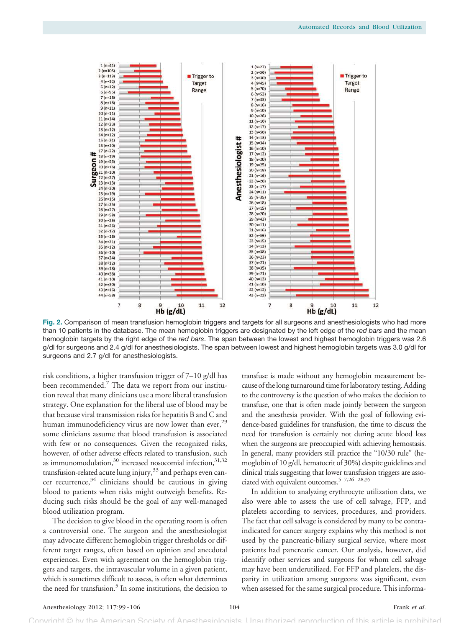

**Fig. 2.** Comparison of mean transfusion hemoglobin triggers and targets for all surgeons and anesthesiologists who had more than 10 patients in the database. The mean hemoglobin triggers are designated by the left edge of the *red bars* and the mean hemoglobin targets by the right edge of the *red bars*. The span between the lowest and highest hemoglobin triggers was 2.6 g/dl for surgeons and 2.4 g/dl for anesthesiologists. The span between lowest and highest hemoglobin targets was 3.0 g/dl for surgeons and 2.7 g/dl for anesthesiologists.

risk conditions, a higher transfusion trigger of 7–10 g/dl has been recommended. $7$  The data we report from our institution reveal that many clinicians use a more liberal transfusion strategy. One explanation for the liberal use of blood may be that because viral transmission risks for hepatitis B and C and human immunodeficiency virus are now lower than ever, $^{29}$ some clinicians assume that blood transfusion is associated with few or no consequences. Given the recognized risks, however, of other adverse effects related to transfusion, such as immunomodulation, $30$  increased nosocomial infection, $31,32$ transfusion-related acute lung injury,<sup>33</sup> and perhaps even cancer recurrence, <sup>34</sup> clinicians should be cautious in giving blood to patients when risks might outweigh benefits. Reducing such risks should be the goal of any well-managed blood utilization program.

The decision to give blood in the operating room is often a controversial one. The surgeon and the anesthesiologist may advocate different hemoglobin trigger thresholds or different target ranges, often based on opinion and anecdotal experiences. Even with agreement on the hemoglobin triggers and targets, the intravascular volume in a given patient, which is sometimes difficult to assess, is often what determines the need for transfusion.<sup>5</sup> In some institutions, the decision to

transfuse is made without any hemoglobin measurement because of the long turnaround time for laboratory testing. Adding to the controversy is the question of who makes the decision to transfuse, one that is often made jointly between the surgeon and the anesthesia provider. With the goal of following evidence-based guidelines for transfusion, the time to discuss the need for transfusion is certainly not during acute blood loss when the surgeons are preoccupied with achieving hemostasis. In general, many providers still practice the "10/30 rule" (hemoglobin of 10 g/dl, hematocrit of 30%) despite guidelines and clinical trials suggesting that lower transfusion triggers are associated with equivalent outcomes.<sup>5–7,26–28,35</sup>

In addition to analyzing erythrocyte utilization data, we also were able to assess the use of cell salvage, FFP, and platelets according to services, procedures, and providers. The fact that cell salvage is considered by many to be contraindicated for cancer surgery explains why this method is not used by the pancreatic-biliary surgical service, where most patients had pancreatic cancer. Our analysis, however, did identify other services and surgeons for whom cell salvage may have been underutilized. For FFP and platelets, the disparity in utilization among surgeons was significant, even when assessed for the same surgical procedure. This informa-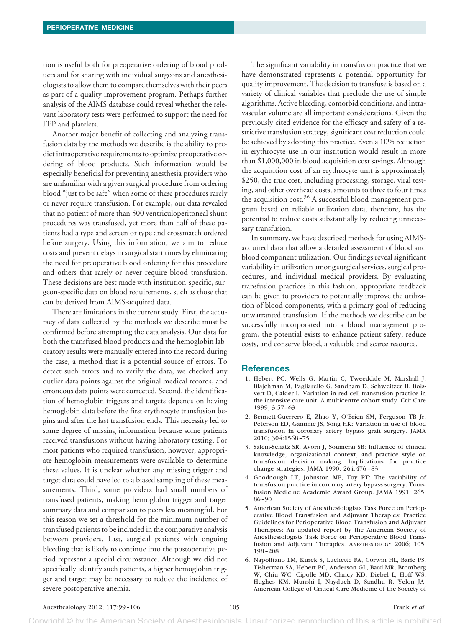tion is useful both for preoperative ordering of blood products and for sharing with individual surgeons and anesthesiologists to allow them to compare themselves with their peers as part of a quality improvement program. Perhaps further analysis of the AIMS database could reveal whether the relevant laboratory tests were performed to support the need for FFP and platelets.

Another major benefit of collecting and analyzing transfusion data by the methods we describe is the ability to predict intraoperative requirements to optimize preoperative ordering of blood products. Such information would be especially beneficial for preventing anesthesia providers who are unfamiliar with a given surgical procedure from ordering blood "just to be safe" when some of these procedures rarely or never require transfusion. For example, our data revealed that no patient of more than 500 ventriculoperitoneal shunt procedures was transfused, yet more than half of these patients had a type and screen or type and crossmatch ordered before surgery. Using this information, we aim to reduce costs and prevent delays in surgical start times by eliminating the need for preoperative blood ordering for this procedure and others that rarely or never require blood transfusion. These decisions are best made with institution-specific, surgeon-specific data on blood requirements, such as those that can be derived from AIMS-acquired data.

There are limitations in the current study. First, the accuracy of data collected by the methods we describe must be confirmed before attempting the data analysis. Our data for both the transfused blood products and the hemoglobin laboratory results were manually entered into the record during the case, a method that is a potential source of errors. To detect such errors and to verify the data, we checked any outlier data points against the original medical records, and erroneous data points were corrected. Second, the identification of hemoglobin triggers and targets depends on having hemoglobin data before the first erythrocyte transfusion begins and after the last transfusion ends. This necessity led to some degree of missing information because some patients received transfusions without having laboratory testing. For most patients who required transfusion, however, appropriate hemoglobin measurements were available to determine these values. It is unclear whether any missing trigger and target data could have led to a biased sampling of these measurements. Third, some providers had small numbers of transfused patients, making hemoglobin trigger and target summary data and comparison to peers less meaningful. For this reason we set a threshold for the minimum number of transfused patients to be included in the comparative analysis between providers. Last, surgical patients with ongoing bleeding that is likely to continue into the postoperative period represent a special circumstance. Although we did not specifically identify such patients, a higher hemoglobin trigger and target may be necessary to reduce the incidence of severe postoperative anemia.

The significant variability in transfusion practice that we have demonstrated represents a potential opportunity for quality improvement. The decision to transfuse is based on a variety of clinical variables that preclude the use of simple algorithms. Active bleeding, comorbid conditions, and intravascular volume are all important considerations. Given the previously cited evidence for the efficacy and safety of a restrictive transfusion strategy, significant cost reduction could be achieved by adopting this practice. Even a 10% reduction in erythrocyte use in our institution would result in more than \$1,000,000 in blood acquisition cost savings. Although the acquisition cost of an erythrocyte unit is approximately \$250, the true cost, including processing, storage, viral testing, and other overhead costs, amounts to three to four times the acquisition cost.<sup>36</sup> A successful blood management program based on reliable utilization data, therefore, has the potential to reduce costs substantially by reducing unnecessary transfusion.

In summary, we have described methods for using AIMSacquired data that allow a detailed assessment of blood and blood component utilization. Our findings reveal significant variability in utilization among surgical services, surgical procedures, and individual medical providers. By evaluating transfusion practices in this fashion, appropriate feedback can be given to providers to potentially improve the utilization of blood components, with a primary goal of reducing unwarranted transfusion. If the methods we describe can be successfully incorporated into a blood management program, the potential exists to enhance patient safety, reduce costs, and conserve blood, a valuable and scarce resource.

## **References**

- 1. Hebert PC, Wells G, Martin C, Tweeddale M, Marshall J, Blajchman M, Pagliarello G, Sandham D, Schweitzer II, Boisvert D, Calder L: Variation in red cell transfusion practice in the intensive care unit: A multicentre cohort study. Crit Care 1999; 3:57–63
- 2. Bennett-Guerrero E, Zhao Y, O'Brien SM, Ferguson TB Jr, Peterson ED, Gammie JS, Song HK: Variation in use of blood transfusion in coronary artery bypass graft surgery. JAMA 2010; 304:1568–75
- 3. Salem-Schatz SR, Avorn J, Soumerai SB: Influence of clinical knowledge, organizational context, and practice style on transfusion decision making. Implications for practice change strategies. JAMA 1990; 264:476–83
- 4. Goodnough LT, Johnston MF, Toy PT: The variability of transfusion practice in coronary artery bypass surgery. Transfusion Medicine Academic Award Group. JAMA 1991; 265: 86–90
- 5. American Society of Anesthesiologists Task Force on Perioperative Blood Transfusion and Adjuvant Therapies: Practice Guidelines for Perioperative Blood Transfusion and Adjuvant Therapies: An updated report by the American Society of Anesthesiologists Task Force on Perioperative Blood Transfusion and Adjuvant Therapies. ANESTHESIOLOGY 2006; 105: 198–208
- 6. Napolitano LM, Kurek S, Luchette FA, Corwin HL, Barie PS, Tisherman SA, Hebert PC, Anderson GL, Bard MR, Bromberg W, Chiu WC, Cipolle MD, Clancy KD, Diebel L, Hoff WS, Hughes KM, Munshi I, Nayduch D, Sandhu R, Yelon JA, American College of Critical Care Medicine of the Society of

### Anesthesiology 2012; 117:99-106 105 105 **Frank** *et al.* **Frank** *et al.*